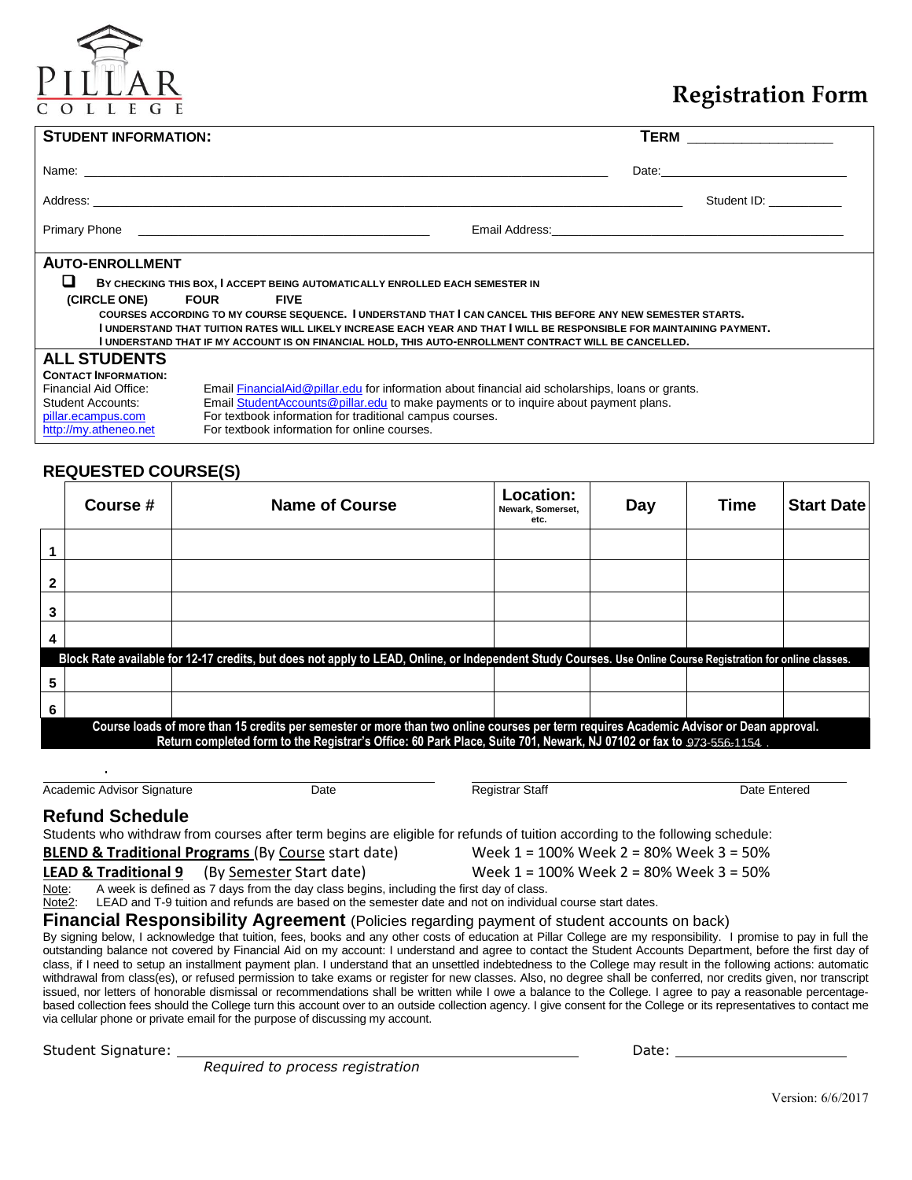# **Registration Form**

| <b>STUDENT INFORMATION:</b>                                                                                                                                                                                                                                                                                                                                                                                                                                                          |                                                                                                                                                                                                                                                                                                        | <b>TERM</b> __________________                                                                                                                                                                                                 |  |  |
|--------------------------------------------------------------------------------------------------------------------------------------------------------------------------------------------------------------------------------------------------------------------------------------------------------------------------------------------------------------------------------------------------------------------------------------------------------------------------------------|--------------------------------------------------------------------------------------------------------------------------------------------------------------------------------------------------------------------------------------------------------------------------------------------------------|--------------------------------------------------------------------------------------------------------------------------------------------------------------------------------------------------------------------------------|--|--|
|                                                                                                                                                                                                                                                                                                                                                                                                                                                                                      |                                                                                                                                                                                                                                                                                                        | Date: the contract of the contract of the contract of the contract of the contract of the contract of the contract of the contract of the contract of the contract of the contract of the contract of the contract of the cont |  |  |
|                                                                                                                                                                                                                                                                                                                                                                                                                                                                                      |                                                                                                                                                                                                                                                                                                        | Student ID: Student ID:                                                                                                                                                                                                        |  |  |
|                                                                                                                                                                                                                                                                                                                                                                                                                                                                                      | Primary Phone <b>Contract Contract Contract Contract Contract Contract Contract Contract Contract Contract Contract Contract Contract Contract Contract Contract Contract Contract Contract Contract Contract Contract Contract </b>                                                                   |                                                                                                                                                                                                                                |  |  |
| <b>AUTO-ENROLLMENT</b><br>BY CHECKING THIS BOX, I ACCEPT BEING AUTOMATICALLY ENROLLED EACH SEMESTER IN<br>(CIRCLE ONE) FOUR FIVE<br>COURSES ACCORDING TO MY COURSE SEQUENCE. I UNDERSTAND THAT I CAN CANCEL THIS BEFORE ANY NEW SEMESTER STARTS.<br>I UNDERSTAND THAT TUITION RATES WILL LIKELY INCREASE EACH YEAR AND THAT I WILL BE RESPONSIBLE FOR MAINTAINING PAYMENT.<br>I UNDERSTAND THAT IF MY ACCOUNT IS ON FINANCIAL HOLD, THIS AUTO-ENROLLMENT CONTRACT WILL BE CANCELLED. |                                                                                                                                                                                                                                                                                                        |                                                                                                                                                                                                                                |  |  |
| <b>ALL STUDENTS</b><br><b>CONTACT INFORMATION:</b><br>Financial Aid Office:<br><b>Student Accounts:</b><br>pillar.ecampus.com<br>http://my.atheneo.net                                                                                                                                                                                                                                                                                                                               | Email FinancialAid@pillar.edu for information about financial aid scholarships, loans or grants.<br>Email Student Accounts @pillar.edu to make payments or to inquire about payment plans.<br>For textbook information for traditional campus courses.<br>For textbook information for online courses. |                                                                                                                                                                                                                                |  |  |

## **REQUESTED COURSE(S)**

|   | Course #                                                                                                                                                                                                                                                      | Name of Course                                                                                                                                               | Location:<br>Newark, Somerset,<br>etc. | Day | <b>Time</b> | <b>Start Date</b> |
|---|---------------------------------------------------------------------------------------------------------------------------------------------------------------------------------------------------------------------------------------------------------------|--------------------------------------------------------------------------------------------------------------------------------------------------------------|----------------------------------------|-----|-------------|-------------------|
|   |                                                                                                                                                                                                                                                               |                                                                                                                                                              |                                        |     |             |                   |
| 2 |                                                                                                                                                                                                                                                               |                                                                                                                                                              |                                        |     |             |                   |
| 3 |                                                                                                                                                                                                                                                               |                                                                                                                                                              |                                        |     |             |                   |
| 4 |                                                                                                                                                                                                                                                               |                                                                                                                                                              |                                        |     |             |                   |
|   |                                                                                                                                                                                                                                                               | Block Rate available for 12-17 credits, but does not apply to LEAD, Online, or Independent Study Courses. Use Online Course Registration for online classes. |                                        |     |             |                   |
| 5 |                                                                                                                                                                                                                                                               |                                                                                                                                                              |                                        |     |             |                   |
| 6 |                                                                                                                                                                                                                                                               |                                                                                                                                                              |                                        |     |             |                   |
|   | Course loads of more than 15 credits per semester or more than two online courses per term requires Academic Advisor or Dean approval.<br>Return completed form to the Registrar's Office: 60 Park Place, Suite 701, Newark, NJ 07102 or fax to 973-556-1154. |                                                                                                                                                              |                                        |     |             |                   |

Academic Advisor Signature **Date** Date **Date Communist Communist Communist Parameters** Date Entered

### **Refund Schedule**

 $\overline{a}$ 

|                                                                | Students who withdraw from courses after term begins are eligible for refunds of tuition according to the following schedule: |
|----------------------------------------------------------------|-------------------------------------------------------------------------------------------------------------------------------|
| <b>BLEND &amp; Traditional Programs</b> (By Course start date) | Week 1 = 100% Week 2 = 80% Week 3 = 50%                                                                                       |

**LEAD & Traditional 9** (By Semester Start date) Week 1 = 100% Week 2 = 80% Week 3 = 50%<br>Note: A week is defined as 7 days from the day class begins, including the first day of class.

Note: A week is defined as 7 days from the day class begins, including the first day of class.<br>Note2: LEAD and T-9 tuition and refunds are based on the semester date and not on individual LEAD and T-9 tuition and refunds are based on the semester date and not on individual course start dates.

**Financial Responsibility Agreement** (Policies regarding payment of student accounts on back)

By signing below, I acknowledge that tuition, fees, books and any other costs of education at Pillar College are my responsibility. I promise to pay in full the outstanding balance not covered by Financial Aid on my account: I understand and agree to contact the Student Accounts Department, before the first day of class, if I need to setup an installment payment plan. I understand that an unsettled indebtedness to the College may result in the following actions: automatic withdrawal from class(es), or refused permission to take exams or register for new classes. Also, no degree shall be conferred, nor credits given, nor transcript issued, nor letters of honorable dismissal or recommendations shall be written while I owe a balance to the College. I agree to pay a reasonable percentagebased collection fees should the College turn this account over to an outside collection agency. I give consent for the College or its representatives to contact me via cellular phone or private email for the purpose of discussing my account.

Student Signature: Date:

*Required to process registration*